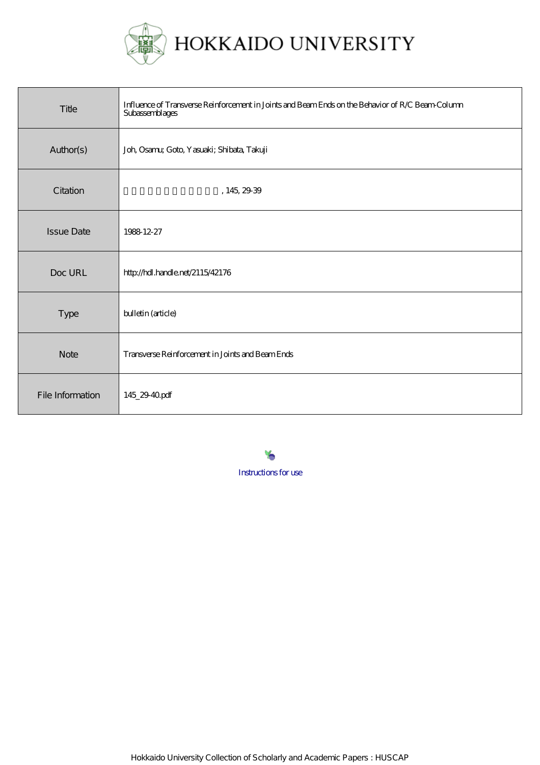

| Title             | Influence of Transverse Reinforcement in Joints and Beam Ends on the Behavior of R.C. Beam-Column<br>Subassemblages |
|-------------------|---------------------------------------------------------------------------------------------------------------------|
| Author(s)         | Joh, Osamu; Goto, Yasuaki; Shibata, Takuji                                                                          |
| Citation          | , 145, 29:39                                                                                                        |
| <b>Issue Date</b> | 1988 12-27                                                                                                          |
| Doc URL           | http://hdl.handle.net/2115/42176                                                                                    |
| Type              | bulletin (article)                                                                                                  |
| <b>Note</b>       | Transverse Reinforcement in Joints and Beam Ends                                                                    |
| File Information  | 145_29-40pdf                                                                                                        |

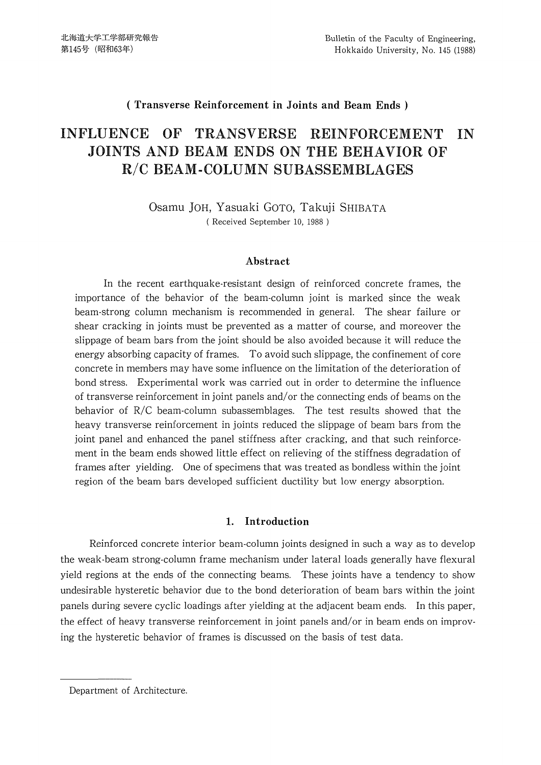# ( Transverse Reinforeement in Joints and Beam Ends )

# INFLUENCE OF TRANSVERSE REINFORCEMENT IN JOINTS AND BEAM ENDS ON THE BEHAVIOR OF R/C BEAM-COLUMN SUBASSEMBLAGES

Osamu JoH, Yasuaki GoTo, Takuji SHIBATA (Received September 10, 1988)

## Abstraet

 In the recent earthquake-resistant design of reinforced concrete frames, the importance of the behavior of the beam-column joint is marked since the weak beam-strong column mechanism is recommended in general. The shear failure or shear cracking in joints must be prevented as a matter of course, and moreover the siippage of beam bars from the joint should be also avoided because it will reduce the energy absorbing capacity of frames. To avoid such slippage, the confinement of core concrete in members may have some influence on the limitation of the deterioration of bond stress. Experimental work was carried out in order to determine the influence of transverse reinforcement in joint paneis and/or the connecting ends of beams on the behavior of R/C beam-column subassemblages. The test results showed that the heavy transverse reinforcement in joints reduced the slippage of beam bars from the joint panel and enhanced the panel stiffness after cracking, and that such reinforcement in the beam ends showed little effect on relieving of the stiffness degradation of frames after yielding. One of specimens that was treated as bondless within the joint region of the beam bars developed sufficient ductility but low energy absorption.

### 1. lntroduction

 Reinforced concrete interior beam-column joints designed in such a way as to develop the weak-beam strong-column frame mechanism under lateral loads generally have flexural yield regions at the ends of the connecting beams. These joints have a tendency to show undesirable hysteretic behavior due to the bond deterioration of beam bars within the joint panels during severe cyclic loadings after yielding at the adjacent beam ends. In this paper, the effect of heavy transverse reinforcement in joint panels and/or in beam ends on improv ing the hysteretic behavior of frames is discussed on the basis of test data.

Department of Architecture.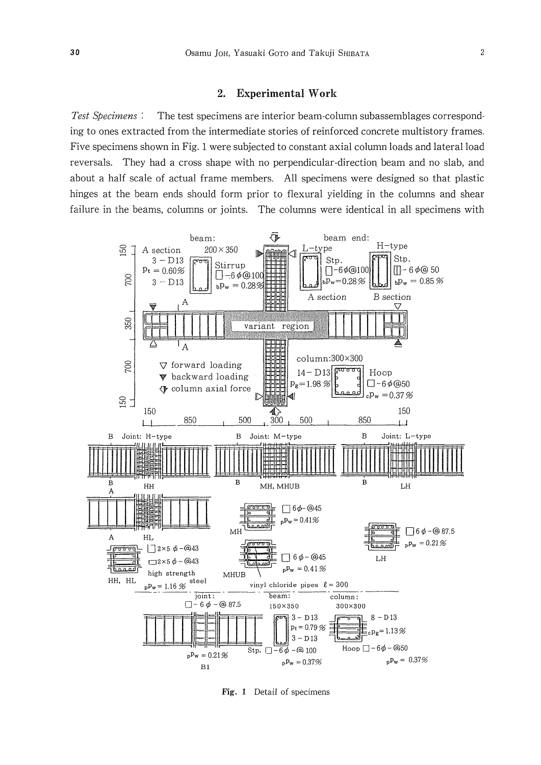#### $\overline{2}$ . **Experimental Work**

Test Specimens: The test specimens are interior beam-column subassemblages corresponding to ones extracted from the intermediate stories of reinforced concrete multistory frames. Five specimens shown in Fig. 1 were subjected to constant axial column loads and lateral load reversals. They had a cross shape with no perpendicular-direction beam and no slab, and about a half scale of actual frame members. All specimens were designed so that plastic hinges at the beam ends should form prior to flexural yielding in the columns and shear failure in the beams, columns or joints. The columns were identical in all specimens with



Fig. 1 Detail of specimens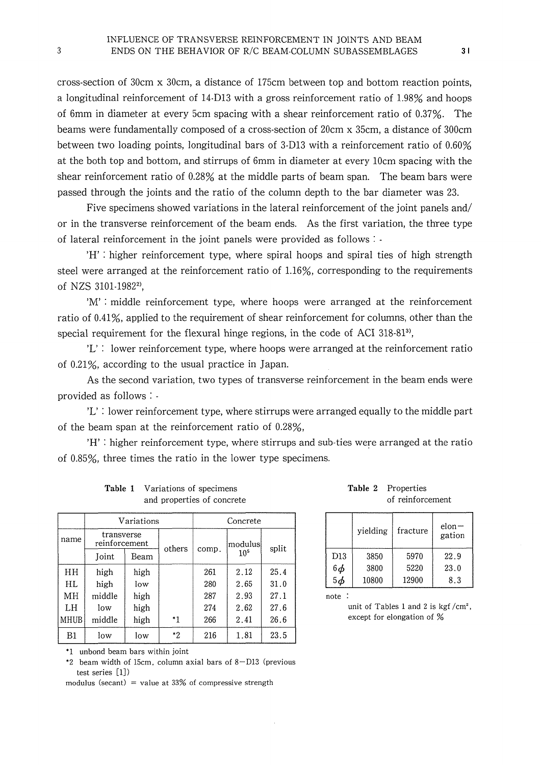cross-section of 30cm x 30cm, a distance of 175cm between top and bottom reaction points, a longitudinal reinforcement of  $14$ -D13 with a gross reinforcement ratio of  $1.98\%$  and hoops of 6mm in diameter at every 5cm spacing with a shear reinforcement ratio of  $0.37\%$ . The beams were fundamentally composed of a cross-section of 20cm x 35cm, a distance of 300cm between two loading points, longitudinal bars of 3-D13 with a reinforcement ratio of  $0.60\%$ at the both top and bottom, and stirrups of 6mm in diameter at every 10cm spacing with the shear reinforcement ratio of  $0.28\%$  at the middle parts of beam span. The beam bars were passed through the joints and the ratio of the column depth to the bar diameter was 23.

Five specimens showed variations in the lateral reinforcement of the joint panels and/ or in the transverse reinforcement of the beam ends. As the first variation, the three type of lateral reinforcement in the joint panels were provided as follows  $\cdot$  -

 'H':higher reinforcement type, where spiral hoops and spirai ties of high strength steel were arranged at the reinforcement ratio of  $1.16\%$ , corresponding to the requirements of NZS 3101-19822),

'M' : middle reinforcement type, where hoops were arranged at the reinforcement ratio of 0.41%, applied to the requirement of shear reinforcement for columns, other than the special requirement for the flexural hinge regions, in the code of ACI  $318-813$ ,

 $'L'$ : lower reinforcement type, where hoops were arranged at the reinforcement ratio of 0.21%, according to the usual practice in Japan.

 As the second variation, two types of transverse reinforcement in the beam ends were provided as follows: -

 $'L'$ : lower reinforcement type, where stirrups were arranged equally to the middle part of the beam span at the reinforcement ratio of  $0.28\%$ ,

 $'H'$ : higher reinforcement type, where stirrups and sub-ties were arranged at the ratio of 0.85%, three times the ratio in the lower type specimens.

|      |                             | Variations |        | Concrete |                 |       |  |  |
|------|-----------------------------|------------|--------|----------|-----------------|-------|--|--|
| name | transverse<br>reinforcement |            | others |          | modulus         | split |  |  |
|      | Joint                       | Beam       |        | comp.    | 10 <sup>5</sup> |       |  |  |
| HH   | high                        | high       |        | 261      | 2.12            | 25.4  |  |  |
| HL   | high                        | low        |        | 280      | 2.65            | 31.0  |  |  |
| MH   | middle                      | high       |        | 287      | 2.93            | 27.1  |  |  |
| LH   | low                         | high       |        | 274      | 2.62            | 27.6  |  |  |

| Table 1 | Variations of specimens    |
|---------|----------------------------|
|         | and properties of concrete |

| Table 2 | Properties       |  |  |  |  |
|---------|------------------|--|--|--|--|
|         | of reinforcement |  |  |  |  |

|         | vielding | fracture | $elon -$<br>gation |
|---------|----------|----------|--------------------|
| D13     | 3850     | 5970     | 22.9               |
| $6\phi$ | 3800     | 5220     | 23.0               |
| $5\phi$ | 10800    | 12900    | 8.3                |

note:

unit of Tables 1 and 2 is kgf  $/cm<sup>2</sup>$ , except for elongation of %

\*1 unbond beam bars within joint

middle

l}IUB

\*2 beam width of 15cm, column axial bars of  $8-D13$  (previous test series  $[1]$ )

266

2.41

26.6

modulus (secant) = value at 33% of compressive strength

 $31$  | low | low | \*2 | 216 | 1.81 | 23

high  $| \cdot \cdot \cdot |$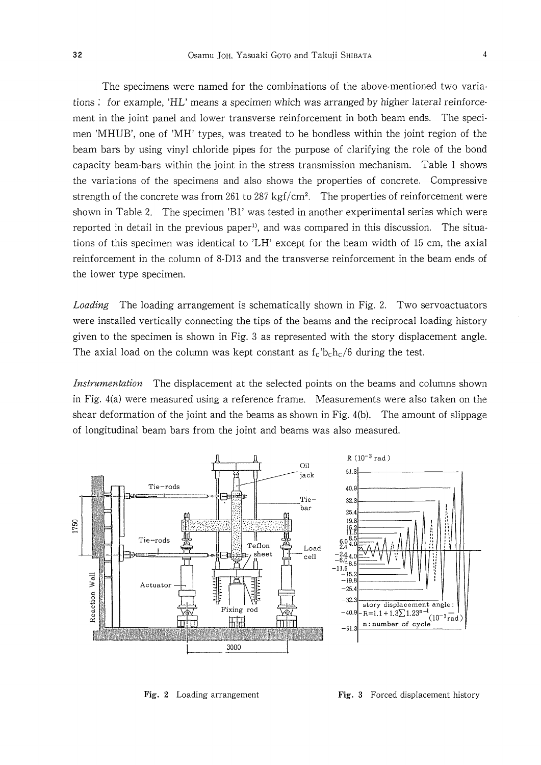The specimens were named for the combinations of the above-mentioned two varia tions  $\gamma$  for example, 'HL' means a specimen which was arranged by higher lateral reinforcement in the joint panel and lower transverse reinforcement in both beam ends. The specimen 'MHUB', one of 'MH' types, was treated to be bondless within the joint region of the beam bars by using vinyl chloride pipes for the purpose of clarifying the role of the bond capacity beam-bars within the joint in the stress transrnission mechanism. Table 1 shows the variations of the specimens and also shows the properties of concrete. Compressive strength of the concrete was from 261 to 287 kgf/cm<sup>2</sup>. The properties of reinforcement were shown in Table 2. The specimen 'B1' was tested in another experimental series which were reported in detail in the previous paper<sup>1</sup>, and was compared in this discussion. The situations of this specimen was identicai to 'LH' except for the beam width of 15 cm, the axial reinforcement in the column of 8-D13 and the transverse reinforcement in the beam ends of the lower type specimen.

*Loading* The loading arrangement is schematically shown in Fig. 2. Two servoactuators were installed vertically connecting the tips of the beams and the reciprocal loading history given to the specimen is shown in Fig. 3 as represented with the story displacement angle. The axial load on the column was kept constant as  $f_c$ 'b<sub>c</sub>h<sub>c</sub>/6 during the test.

Instrumentation The displacement at the selected points on the beams and columns shown in Fig. 4(a) were measured using a reference frame. Measurements were also taken on the shear deformation of the joint and the beams as shown in Fig. 4(b). The amount of slippage of longitudinal beam bars from the joint and beams was also measured.



Fig. 2 Loading arrangement Fig. 3 Forced displacement history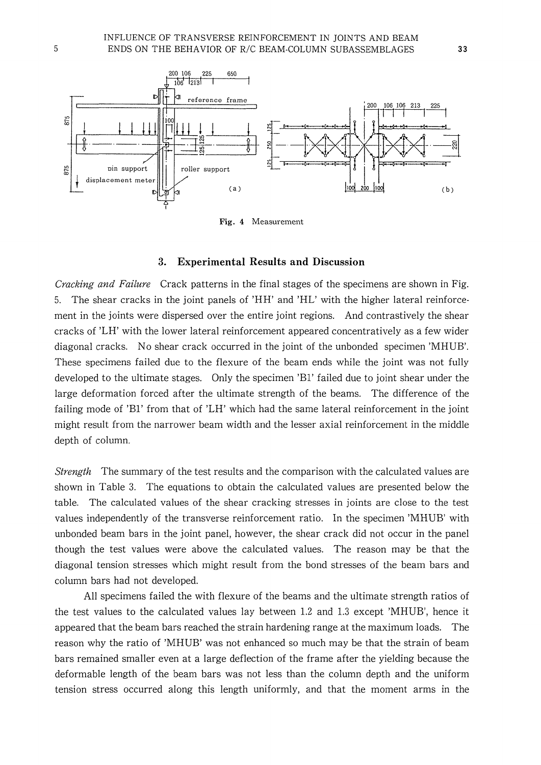

Fig. 4 Measurement

# 3. Experimental Results and Discussion

Cracking and Failure Crack patterns in the final stages of the specimens are shown in Fig. 5. The shear cracks in the joint panels of 'HH' and 'HL' with the higher lateral reinforce ment in the joints were dispersed over the entire joint regions. And contrastively the shear cracks of 'LH' with the lower lateral reinforcement appeared concentratively as a few wider diagonal cracks. No shear crack occurred in the joint of the unbonded specimen 'MHUB'. These specimens failed due to the flexure of the beam ends while the joint was not fully developed to the ultimate stages. Only the specimen 'B1' failed due to joint shear under the large deformation forced after the ultimate strength of the beams. The difference of the failing mode of 'Bl' from that of 'LH' which had the same lateral reinforcement in the joint might result from the narrower beam width and the lesser axial reinforcement in the middle depth of column.

Strength The summary of the test results and the comparison with the calculated values are shown in Table 3. The equations to obtain the calculated values are presented below the table. The calculated values of the shear cracking stresses in joints are close to the test values independently of the transverse reinforcement ratio. ln the specimen 'MHUB' with unbonded beam bars in the joint panel, however, the shear crack did not occur in the panel though the test vaiues were above the calculated values. The reason may be that the diagonal tension stresses which might result from the bond stresses of the beam bars and column bars had not developed.

 All specimens failed the with flexure of the beams and the ultimate strength ratios of the test values to the calculated values lay between 1.2 and 1.3 except 'MHUB', hence it appeared that the beam bars reached the strain hardening range at the maximum loads. The reason why the ratio of 'MHUB' was not enhanced so much may be that the strain of beam bars remained smaller even at a large deflection of the frame after the yielding because the deformable length of the beam bars was not less than the column depth and the uniform tension stress occurred along this length uniformly, and that the moment arms in the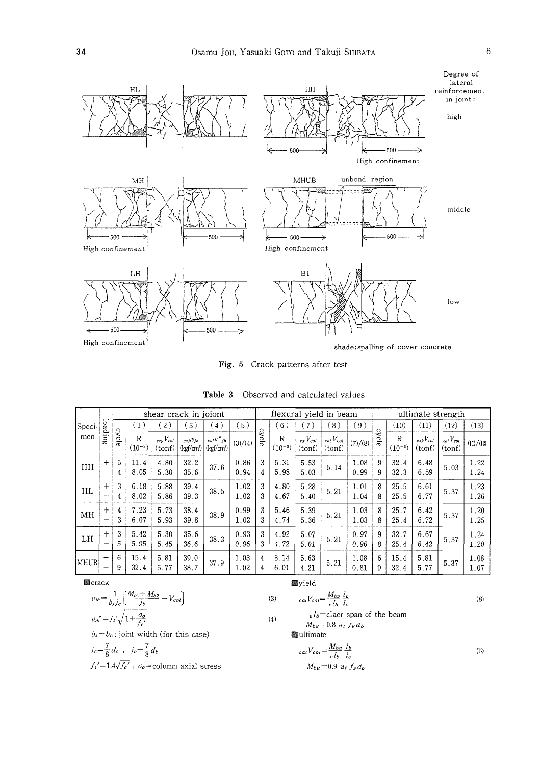

Fig. 5 Crack patterns after test

|             | shear crack in joiont |                  |                  |                              | flexural vield in beam                 |                                                                  |              |         | ultimate strength |                          |                              |              |                     |                             |                              |                              |              |
|-------------|-----------------------|------------------|------------------|------------------------------|----------------------------------------|------------------------------------------------------------------|--------------|---------|-------------------|--------------------------|------------------------------|--------------|---------------------|-----------------------------|------------------------------|------------------------------|--------------|
| Speci-      |                       |                  | $\left(1\right)$ | 2)                           | $\left(3\right)$                       | $\vert 4 \rangle$                                                | 5)           | $\circ$ | (6)               | (7)                      | 8)                           | 9)           | $\Omega$            | (10)                        | (11)                         | (12)                         | (13)         |
| men         | loading               | cycl<br>$\sigma$ | R<br>$(10^{-3})$ | $_{exp}$ $V_{col}$<br>(tonf) | $exp U_{jh}$<br>(kgf/cm <sup>2</sup> ) | $cal{U}^*_{jh}$<br>$\left \frac{\text{kgf}}{\text{cm}^2}\right $ | (3)/(4)      | ycl     | R<br>$(10^{-3})$  | $_{ex}V_{col}$<br>(tonf) | $_{cat}$ $V_{cot}$<br>(tonf) | (7)/(8)      | ⋖<br>$\overline{5}$ | $\mathbb{R}$<br>$(10^{-3})$ | $_{exp}$ $V_{col}$<br>(tonf) | $_{cal}$ $V_{cot}$<br>(tonf) | (11)/(12)    |
| HH          | $+$                   | 5<br>4           | 11.4<br>8.05     | 4.80<br>5.30                 | 32.2<br>35.6                           | 37.6                                                             | 0.86<br>0.94 | 3<br>4  | 5.31<br>5.98      | 5.53<br>5.03             | 5.14                         | 1.08<br>0.99 | 9<br>9              | 32.4<br>32.3                | 6.48<br>6.59                 | 5.03                         | 1.22<br>1.24 |
| HL          | $+$                   | 3<br>4           | 6.18<br>8.02     | 5.88<br>5.86                 | 39.4<br>39.3                           | 38.5                                                             | 1.02<br>1.02 | 3<br>3  | 4.80<br>4.67      | 5.28<br>5.40             | 5.21                         | 1.01<br>1.04 | 8<br>8              | 25.5<br>25.5                | 6.61<br>6.77                 | 5.37                         | 1.23<br>1.26 |
| MH          | $+$                   | 4<br>3           | 7.23<br>6.07     | 5.73<br>5.93                 | 38.4<br>39.8                           | 38.9                                                             | 0.99<br>1.02 | 3<br>3  | 5.46<br>4.74      | 5.39<br>5.36             | 5.21                         | 1.03<br>1.03 | 8<br>8              | 25.7<br>25.4                | 6.42<br>6.72                 | 5.37                         | 1.20<br>1.25 |
| LH          | $+$                   | 3<br>5           | 5.42<br>5.95     | 5.30<br>5.45                 | 35.6<br>36.6                           | 38.3                                                             | 0.93<br>0.96 | 3<br>3  | 4.92<br>4.72      | 5.07<br>5.01             | 5.21                         | 0.97<br>0.96 | 9<br>8              | 32.7<br>25.4                | 6.67<br>6.42                 | 5.37                         | 1.24<br>1.20 |
| <b>MHUB</b> | $+$                   | 6<br>9           | 15.4<br>32.4     | 5.81<br>5.77                 | 39.0<br>38.7                           | 37.9                                                             | 1.03<br>1.02 | 4<br>4  | 8.14<br>6.01      | 5.63<br>4.21             | 5.21                         | 1.08<br>0.81 | 6<br>9              | 15.4<br>32.4                | 5.81<br>5.77                 | 5.37                         | 1.08<br>1.07 |

Table 3 Observed and calculated values

erack

$$
v_{jh} = \frac{1}{b_j j_c} \left( \frac{M_{b1} + M_{b2}}{j_b} - V_{col} \right)
$$
  

$$
v_{jh}^* = f_t' \sqrt{1 + \frac{\sigma_o}{f_t'}}
$$

 $b_j = b_c$ ; joint width (for this case)

$$
j_c = \frac{7}{8} d_c , \quad j_b = \frac{7}{8} d_b
$$

 $f_t{'}{=}1.4\sqrt{f_c}'$  ,  $\sigma_o{=}$  column axial stress

$$
\pmb{\text{[i]}}
$$

 $cat$ 

 $(3)$  $(4)$ 

$$
calV_{col} = \frac{M_{bb}}{e l_b} \frac{l_b}{l_c}
$$
 (8)  
\n
$$
e l_b = \text{clear span of the beam}
$$
  
\n
$$
M_{bb} = 0.8 \ a_t \ f_y d_b
$$
  
\n**Quitimate**

$$
{}_{l}V_{col} = \frac{M_{bu}}{e l_b} \frac{l_b}{l_c}
$$
  
(12)  

$$
M_{bu} = 0.9 \ a_t \ f_y d_b
$$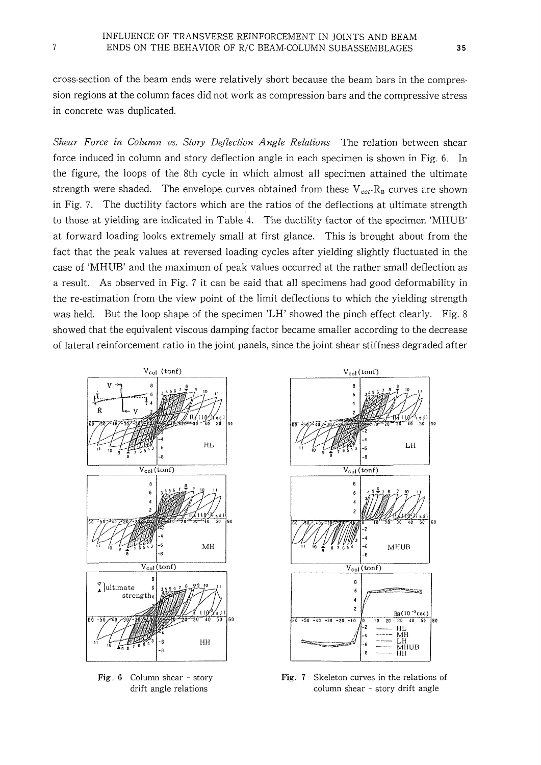cross-section of the beam ends were relatively short because the beam bars in the compression regions at the column faces did not work as compression bars and the compressive stress in concrete was duplicated.

Shear Force in Column vs. Story Deflection Angle Relations The relation between shear force induced in column and story deflection angle in each specimen is shown in Fig. 6. In the figure, the loops of the 8th cycle in which almost all specimen attained the ultimate strength were shaded. The envelope curves obtained from these  $V_{\text{cot}}R_B$  curves are shown in Fig. 7. The ductility factors which are the ratios of the deflections at ultimate strength to those at yielding are indicated in Table 4. The ductility factor of the specimen 'MHUB' at forward loading looks extremely small at first glance. This is brought about from the fact that the peak values at reversed loading cycles after yielding slightly fluctuated in the case of 'MHUB' and the maximum of peak values occurred at the rather small deflection as a result. As observed in Fig. 7 it can be said that all specimens had good deformability in the re-estimation from the view point of the limit deflections to which the yielding strength was held. But the loop shape of the specimen 'LH' showed the pinch effect clearly. Fig. 8 showed that the equivalent viscous damping factor became smaller according to the decrease of lateral reinforcement ratio in the joint panels, since the joint shear stiffness degraded after



Fig. 6 Column shear - story drift angle relations



Fig. 7 Skeleton curves in the relations of column shear - story drift angle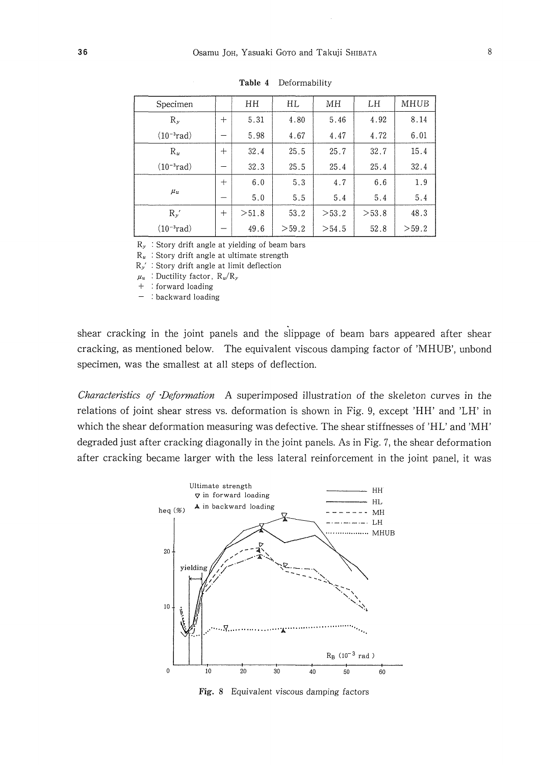| Specimen           |              | HH    | HL    | MН     | LH    | MHUB  |
|--------------------|--------------|-------|-------|--------|-------|-------|
| $R_{y}$            | ┿            | 5.31  | 4.80  | 5.46   | 4.92  | 8.14  |
| $(10^{-3} rad)$    |              | 5.98  | 4.67  | 4.47   | 4.72  | 6.01  |
| $R_{\nu}$          | $+$          | 32.4  | 25.5  | 25.7   | 32.7  | 15.4  |
| $(10^{-3} rad)$    |              | 32.3  | 25.5  | 25.4   | 25.4  | 32.4  |
|                    | $+$          | 6.0   | 5.3   | 4.7    | 6.6   | 1.9   |
| $\mu$ <sub>u</sub> | <b>START</b> | 5.0   | 5.5   | 5.4    | 5.4   | 5.4   |
| $R_{\nu}$          | $^{+}$       | >51.8 | 53.2  | > 53.2 | >53.8 | 48.3  |
| $(10^{-3} rad)$    |              | 49.6  | >59.2 | >54.5  | 52.8  | >59.2 |

Table 4 Deformability

 $R_y$ : Story drift angle at yielding of beam bars

 $R_u$ : Story drift angle at ultimate strength

 $R_{\nu}$  : Story drift angle at limit deflection

 $\mu_u$ : Ductility factor,  $R_u/R_v$ 

 $+$ : forward loading

 $-$ : backward loading

shear cracking in the joint panels and the slippage of beam bars appeared after shear cracking, as mentioned below. The equivalent viscous damping factor of 'MHUB', unbond specimen, was the smallest at all steps of deflection.

Characteristics of Deformation A superimposed illustration of the skeleton curves in the relations of joint shear stress vs. deformation is shown in Fig. 9, except 'HH' and 'LH' in which the shear deformation measuring was defective. The shear stiffnesses of 'HL' and 'MH' degraded just after cracking diagonally in the joint panels. As in Fig. 7, the shear deformation after cracking became larger with the less lateral reinforcement in the joint panel, it was



Fig. 8 Equivalent viscous damping factors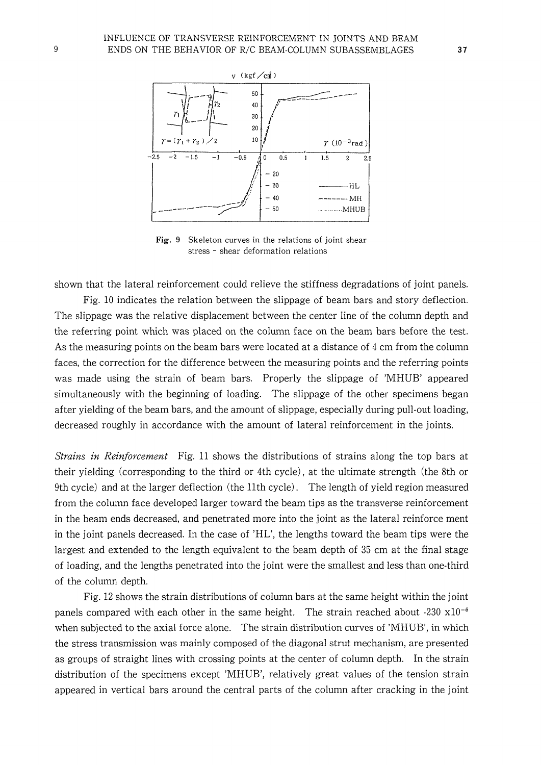

Fig. 9 Skeleton curves in the relations of joint shear stress 一 shear deformation relations

shown that the lateral reinforcement could relieve the stiffness degradations of joint panels.

 Fig. 10 indicates the relation between the slippage of beam bars and story deflection. The slippage was the relative displacement between the center line of the column depth and the referring point which was placed on the column face on the beam bars before the test. As the measuring points on the beam bars were located at a distance of  $4 \text{ cm}$  from the column faces, the correction for the difference between the measuring points and the referring points was made using the strain of beam bars. Properly the slippage of 'MHUB' appeared simultaneously with the beginning of loading. The slippage of the other specimens began after yielding of the beam bars, and the amount of slippage, especially during pull-out loading, decreased roughly in accordance with the amount of lateral reinforcement in the joints.

Strains in Reinforcement Fig. 11 shows the distributions of strains along the top bars at their yielding (corresponding to the third or 4th cycle), at the ultimate strength (the 8th or gth cycle) and at the larger deflection (the 11th cycle) . The length of yield region measured from the column face developed larger toward the beam tips as the transverse reinforcement in the beam ends decreased, and penetrated more into the joint as the lateral reinforce ment in the joint panels decreased. In the case of 'HL', the lengths toward the beam tips were the largest and extended to the length equivalent to the beam depth of 35 cm at the final stage of loading, and the lengths penetrated into the joint were the smallest and less than one-third of the column depth.

 Fig. 12 shows the strain distributions of colurnn bars at the same height within the joint panels compared with each other in the same height. The strain reached about  $-230 \times 10^{-6}$ when subjected to the axial force alone. The strain distribution curves of 'MHUB', in which the stress transmission was mainly composed of the diagonal strut mechanism, are presented as groups of straight lines with crossing points at the center of column depth. ln the strain distribution of the specimens except 'MHUB', relatively great values of the tension strain appeared in vertical bars around the central parts of the column after cracking in the joint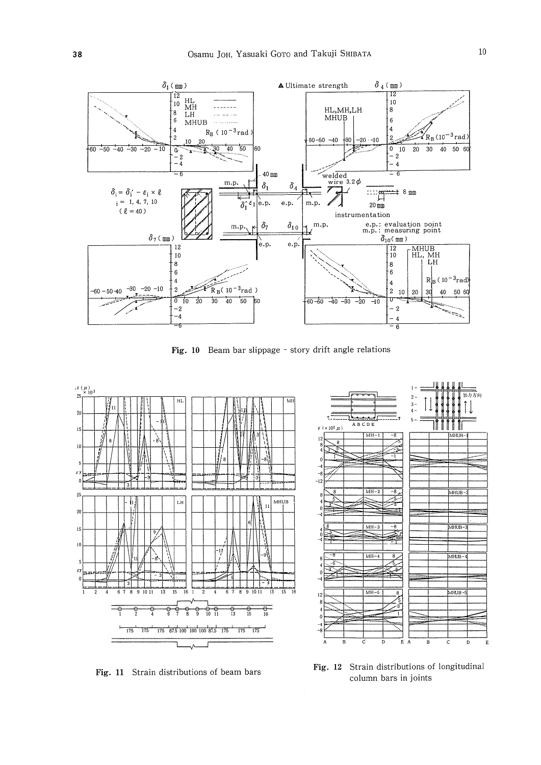

Fig. 10 Beam bar slippage - story drift angle relations



Fig. 11 Strain distributions of beam bars

Fig. 12 Strain distributions of longitudinal column bars in joints